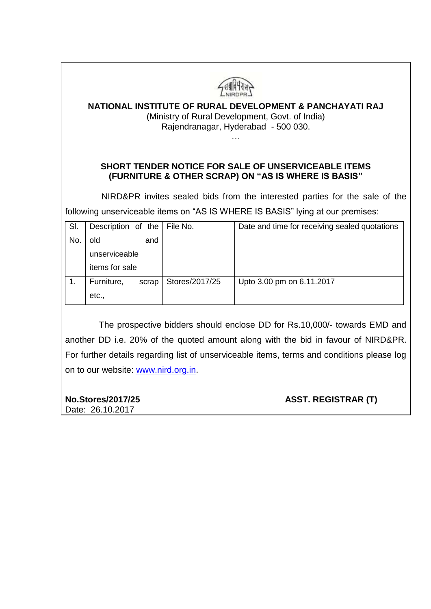| <b>NATIONAL INSTITUTE OF RURAL DEVELOPMENT &amp; PANCHAYATI RAJ</b><br>(Ministry of Rural Development, Govt. of India)<br>Rajendranagar, Hyderabad - 500 030. |                    |       |                |                                                                                |
|---------------------------------------------------------------------------------------------------------------------------------------------------------------|--------------------|-------|----------------|--------------------------------------------------------------------------------|
| <b>SHORT TENDER NOTICE FOR SALE OF UNSERVICEABLE ITEMS</b><br>(FURNITURE & OTHER SCRAP) ON "AS IS WHERE IS BASIS"                                             |                    |       |                |                                                                                |
|                                                                                                                                                               |                    |       |                |                                                                                |
|                                                                                                                                                               |                    |       |                | NIRD&PR invites sealed bids from the interested parties for the sale of the    |
|                                                                                                                                                               |                    |       |                | following unserviceable items on "AS IS WHERE IS BASIS" lying at our premises: |
| SI.                                                                                                                                                           | Description of the |       | File No.       | Date and time for receiving sealed quotations                                  |
| No.                                                                                                                                                           | old                | and   |                |                                                                                |
|                                                                                                                                                               | unserviceable      |       |                |                                                                                |
|                                                                                                                                                               | items for sale     |       |                |                                                                                |
| 1.                                                                                                                                                            | Furniture,         | scrap | Stores/2017/25 | Upto 3.00 pm on 6.11.2017                                                      |

e prospective bidders should enclose another DD i.e. 20% of the quoted amount along with the bid in favour of NIRD&PR. For further details regarding list of unserviceable items, terms and conditions please log on to our website: [www.nird.org.in.](http://www.nird.org.in/)

# Date: 26.10.2017

**No.Stores/2017/25 ASST. REGISTRAR (T)**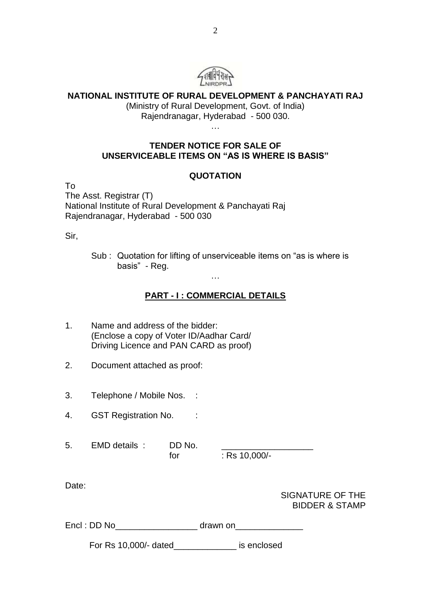

#### **NATIONAL INSTITUTE OF RURAL DEVELOPMENT & PANCHAYATI RAJ**

(Ministry of Rural Development, Govt. of India) Rajendranagar, Hyderabad - 500 030.

…

#### **TENDER NOTICE FOR SALE OF UNSERVICEABLE ITEMS ON "AS IS WHERE IS BASIS"**

#### **QUOTATION**

To The Asst. Registrar (T) National Institute of Rural Development & Panchayati Raj Rajendranagar, Hyderabad - 500 030

Sir,

Sub : Quotation for lifting of unserviceable items on "as is where is basis" - Reg.

## **PART - I : COMMERCIAL DETAILS**

…

| 1.    | Name and address of the bidder:<br>(Enclose a copy of Voter ID/Aadhar Card/<br>Driving Licence and PAN CARD as proof) |     |               |                                               |
|-------|-----------------------------------------------------------------------------------------------------------------------|-----|---------------|-----------------------------------------------|
| 2.    | Document attached as proof:                                                                                           |     |               |                                               |
| 3.    | Telephone / Mobile Nos. :                                                                                             |     |               |                                               |
| 4.    | GST Registration No. :                                                                                                |     |               |                                               |
|       | 5. EMD details: DD No.                                                                                                | for | : Rs 10,000/- |                                               |
| Date: |                                                                                                                       |     |               | SIGNATURE OF THE<br><b>BIDDER &amp; STAMP</b> |
|       |                                                                                                                       |     |               |                                               |
|       | For Rs 10,000/- dated____________________ is enclosed                                                                 |     |               |                                               |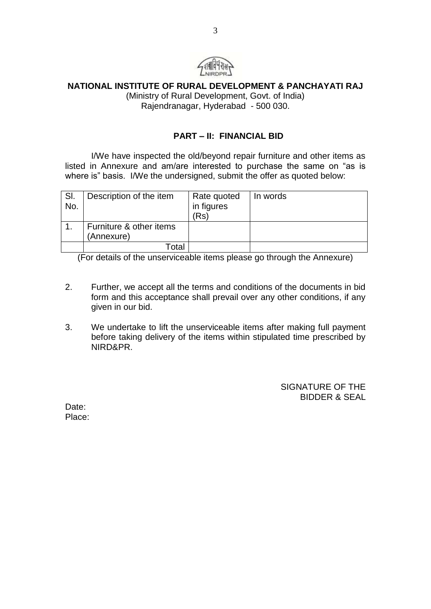

## **NATIONAL INSTITUTE OF RURAL DEVELOPMENT & PANCHAYATI RAJ**

(Ministry of Rural Development, Govt. of India) Rajendranagar, Hyderabad - 500 030.

#### **PART – II: FINANCIAL BID**

I/We have inspected the old/beyond repair furniture and other items as listed in Annexure and am/are interested to purchase the same on "as is where is" basis. I/We the undersigned, submit the offer as quoted below:

| SI.<br>No. | Description of the item               | Rate quoted<br>in figures<br>(Rs | In words |
|------------|---------------------------------------|----------------------------------|----------|
|            | Furniture & other items<br>(Annexure) |                                  |          |
|            | Гotal                                 |                                  |          |

(For details of the unserviceable items please go through the Annexure)

- 2. Further, we accept all the terms and conditions of the documents in bid form and this acceptance shall prevail over any other conditions, if any given in our bid.
- 3. We undertake to lift the unserviceable items after making full payment before taking delivery of the items within stipulated time prescribed by NIRD&PR.

SIGNATURE OF THE BIDDER & SEAL

Date: Place: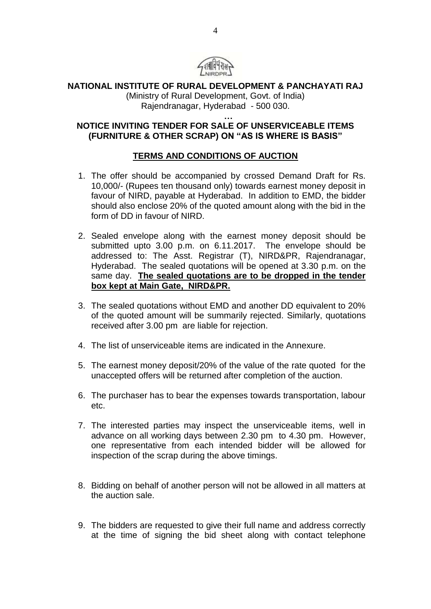

## **NATIONAL INSTITUTE OF RURAL DEVELOPMENT & PANCHAYATI RAJ**

(Ministry of Rural Development, Govt. of India) Rajendranagar, Hyderabad - 500 030.

**…**

#### **NOTICE INVITING TENDER FOR SALE OF UNSERVICEABLE ITEMS (FURNITURE & OTHER SCRAP) ON "AS IS WHERE IS BASIS"**

## **TERMS AND CONDITIONS OF AUCTION**

- 1. The offer should be accompanied by crossed Demand Draft for Rs. 10,000/- (Rupees ten thousand only) towards earnest money deposit in favour of NIRD, payable at Hyderabad. In addition to EMD, the bidder should also enclose 20% of the quoted amount along with the bid in the form of DD in favour of NIRD.
- 2. Sealed envelope along with the earnest money deposit should be submitted upto 3.00 p.m. on 6.11.2017. The envelope should be addressed to: The Asst. Registrar (T), NIRD&PR, Rajendranagar, Hyderabad. The sealed quotations will be opened at 3.30 p.m. on the same day. **The sealed quotations are to be dropped in the tender box kept at Main Gate, NIRD&PR.**
- 3. The sealed quotations without EMD and another DD equivalent to 20% of the quoted amount will be summarily rejected. Similarly, quotations received after 3.00 pm are liable for rejection.
- 4. The list of unserviceable items are indicated in the Annexure.
- 5. The earnest money deposit/20% of the value of the rate quoted for the unaccepted offers will be returned after completion of the auction.
- 6. The purchaser has to bear the expenses towards transportation, labour etc.
- 7. The interested parties may inspect the unserviceable items, well in advance on all working days between 2.30 pm to 4.30 pm. However, one representative from each intended bidder will be allowed for inspection of the scrap during the above timings.
- 8. Bidding on behalf of another person will not be allowed in all matters at the auction sale.
- 9. The bidders are requested to give their full name and address correctly at the time of signing the bid sheet along with contact telephone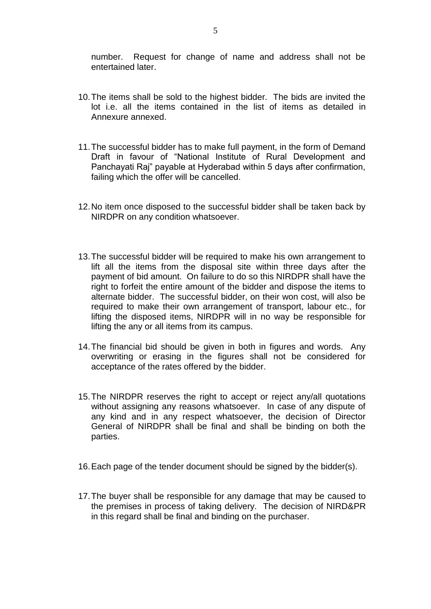number. Request for change of name and address shall not be entertained later.

- 10.The items shall be sold to the highest bidder. The bids are invited the lot i.e. all the items contained in the list of items as detailed in Annexure annexed.
- 11.The successful bidder has to make full payment, in the form of Demand Draft in favour of "National Institute of Rural Development and Panchayati Raj" payable at Hyderabad within 5 days after confirmation, failing which the offer will be cancelled.
- 12.No item once disposed to the successful bidder shall be taken back by NIRDPR on any condition whatsoever.
- 13.The successful bidder will be required to make his own arrangement to lift all the items from the disposal site within three days after the payment of bid amount. On failure to do so this NIRDPR shall have the right to forfeit the entire amount of the bidder and dispose the items to alternate bidder. The successful bidder, on their won cost, will also be required to make their own arrangement of transport, labour etc., for lifting the disposed items, NIRDPR will in no way be responsible for lifting the any or all items from its campus.
- 14.The financial bid should be given in both in figures and words. Any overwriting or erasing in the figures shall not be considered for acceptance of the rates offered by the bidder.
- 15.The NIRDPR reserves the right to accept or reject any/all quotations without assigning any reasons whatsoever. In case of any dispute of any kind and in any respect whatsoever, the decision of Director General of NIRDPR shall be final and shall be binding on both the parties.
- 16.Each page of the tender document should be signed by the bidder(s).
- 17.The buyer shall be responsible for any damage that may be caused to the premises in process of taking delivery. The decision of NIRD&PR in this regard shall be final and binding on the purchaser.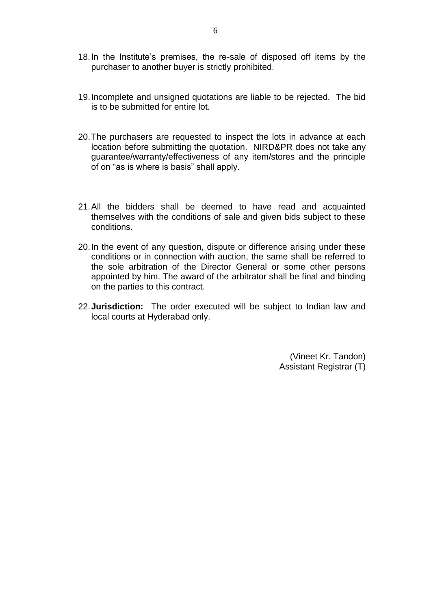- 18.In the Institute's premises, the re-sale of disposed off items by the purchaser to another buyer is strictly prohibited.
- 19.Incomplete and unsigned quotations are liable to be rejected. The bid is to be submitted for entire lot.
- 20.The purchasers are requested to inspect the lots in advance at each location before submitting the quotation. NIRD&PR does not take any guarantee/warranty/effectiveness of any item/stores and the principle of on "as is where is basis" shall apply.
- 21.All the bidders shall be deemed to have read and acquainted themselves with the conditions of sale and given bids subject to these conditions.
- 20.In the event of any question, dispute or difference arising under these conditions or in connection with auction, the same shall be referred to the sole arbitration of the Director General or some other persons appointed by him. The award of the arbitrator shall be final and binding on the parties to this contract.
- 22.**Jurisdiction:** The order executed will be subject to Indian law and local courts at Hyderabad only.

(Vineet Kr. Tandon) Assistant Registrar (T)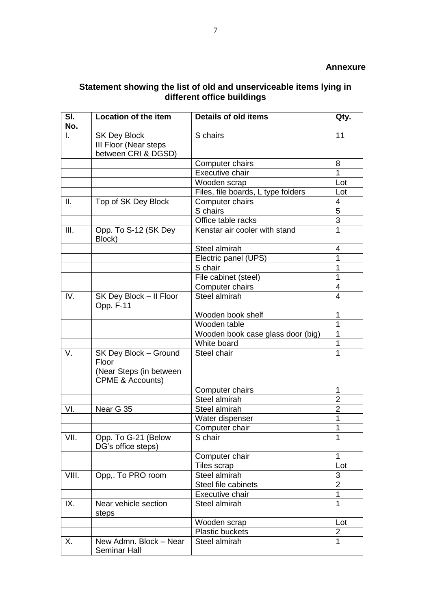#### **Statement showing the list of old and unserviceable items lying in different office buildings**

| SI.<br>No. | <b>Location of the item</b>                                                              | <b>Details of old items</b>        | Qty.           |
|------------|------------------------------------------------------------------------------------------|------------------------------------|----------------|
| I.         | <b>SK Dey Block</b><br>III Floor (Near steps<br>between CRI & DGSD)                      | S chairs                           | 11             |
|            |                                                                                          | Computer chairs                    | 8              |
|            |                                                                                          | Executive chair                    | 1              |
|            |                                                                                          | Wooden scrap                       | Lot            |
|            |                                                                                          | Files, file boards, L type folders | Lot            |
| Ш.         | Top of SK Dey Block                                                                      | Computer chairs                    | 4              |
|            |                                                                                          | S chairs                           | $\overline{5}$ |
|            |                                                                                          | Office table racks                 | $\overline{3}$ |
| III.       | Opp. To S-12 (SK Dey<br>Block)                                                           | Kenstar air cooler with stand      | 1              |
|            |                                                                                          | Steel almirah                      | 4              |
|            |                                                                                          | Electric panel (UPS)               | 1              |
|            |                                                                                          | S chair                            | 1              |
|            |                                                                                          | File cabinet (steel)               | 1              |
|            |                                                                                          | Computer chairs                    | $\overline{4}$ |
| IV.        | SK Dey Block - II Floor<br>Opp. F-11                                                     | Steel almirah                      | $\overline{4}$ |
|            |                                                                                          | Wooden book shelf                  | 1              |
|            |                                                                                          | Wooden table                       | 1              |
|            |                                                                                          | Wooden book case glass door (big)  | 1              |
|            |                                                                                          | White board                        | 1              |
| V.         | SK Dey Block - Ground<br>Floor<br>(Near Steps (in between<br><b>CPME &amp; Accounts)</b> | Steel chair                        | 1              |
|            |                                                                                          | Computer chairs                    | 1              |
|            |                                                                                          | Steel almirah                      | $\overline{2}$ |
| VI.        | Near G 35                                                                                | Steel almirah                      | $\overline{2}$ |
|            |                                                                                          | Water dispenser                    | 1              |
|            |                                                                                          | Computer chair                     | 1              |
| VII.       | Opp. To G-21 (Below<br>DG's office steps)                                                | S chair                            | $\overline{1}$ |
|            |                                                                                          | Computer chair                     | $\mathbf 1$    |
|            |                                                                                          | Tiles scrap                        | Lot            |
| VIII.      | Opp,. To PRO room                                                                        | Steel almirah                      | 3              |
|            |                                                                                          | Steel file cabinets                | $\overline{2}$ |
|            |                                                                                          | Executive chair                    | 1              |
| IX.        | Near vehicle section<br>steps                                                            | Steel almirah                      | 1              |
|            |                                                                                          | Wooden scrap                       | Lot            |
|            |                                                                                          | <b>Plastic buckets</b>             | $\overline{2}$ |
| Χ.         | New Admn. Block - Near<br><b>Seminar Hall</b>                                            | Steel almirah                      | 1              |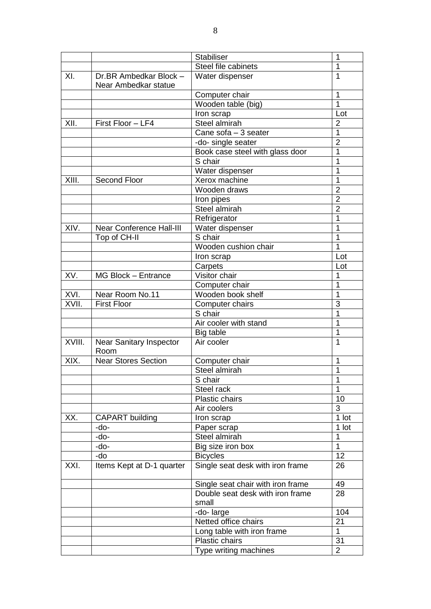|        |                                                | <b>Stabiliser</b>                         | 1              |
|--------|------------------------------------------------|-------------------------------------------|----------------|
|        |                                                | Steel file cabinets                       | 1              |
| XI.    | Dr.BR Ambedkar Block -<br>Near Ambedkar statue | Water dispenser                           | $\mathbf{1}$   |
|        |                                                | Computer chair                            | 1              |
|        |                                                | Wooden table (big)                        | 1              |
|        |                                                | Iron scrap                                | Lot            |
| XII.   | First Floor - LF4                              | Steel almirah                             | $\overline{2}$ |
|        |                                                | Cane sofa - 3 seater                      | $\mathbf{1}$   |
|        |                                                | -do- single seater                        | $\overline{2}$ |
|        |                                                | Book case steel with glass door           | 1              |
|        |                                                | S chair                                   | 1              |
|        |                                                | Water dispenser                           | 1              |
| XIII.  | Second Floor                                   | Xerox machine                             | 1              |
|        |                                                | Wooden draws                              | $\overline{2}$ |
|        |                                                | Iron pipes                                | $\overline{2}$ |
|        |                                                | Steel almirah                             | $\overline{2}$ |
|        |                                                | Refrigerator                              | 1              |
| XIV.   | <b>Near Conference Hall-III</b>                | Water dispenser                           | 1              |
|        | Top of CH-II                                   | S chair                                   | 1              |
|        |                                                | Wooden cushion chair                      | 1              |
|        |                                                | Iron scrap                                | Lot            |
|        |                                                | Carpets                                   | Lot            |
| XV.    | MG Block - Entrance                            | Visitor chair                             | 1              |
|        |                                                | Computer chair                            | 1              |
| XVI.   | Near Room No.11                                | Wooden book shelf                         | 1              |
| XVII.  | <b>First Floor</b>                             | Computer chairs                           | $\overline{3}$ |
|        |                                                | S chair                                   | 1              |
|        |                                                | Air cooler with stand                     | 1              |
|        |                                                | Big table                                 | $\mathbf{1}$   |
| XVIII. | <b>Near Sanitary Inspector</b><br>Room         | Air cooler                                | 1              |
| XIX.   | <b>Near Stores Section</b>                     | Computer chair                            | 1              |
|        |                                                | Steel almirah                             | 1              |
|        |                                                | S chair                                   | 1              |
|        |                                                | Steel rack                                | 1              |
|        |                                                | Plastic chairs                            | 10             |
|        |                                                | Air coolers                               | 3              |
| XX.    | <b>CAPART</b> building                         | Iron scrap                                | 1 lot          |
|        | -do-                                           | Paper scrap                               | 1 lot          |
|        | -do-                                           | Steel almirah                             | 1              |
|        | -do-                                           | Big size iron box                         | 1              |
|        | -do                                            | <b>Bicycles</b>                           | 12             |
| XXI.   | Items Kept at D-1 quarter                      | Single seat desk with iron frame          | 26             |
|        |                                                | Single seat chair with iron frame         | 49             |
|        |                                                | Double seat desk with iron frame<br>small | 28             |
|        |                                                | -do-large                                 | 104            |
|        |                                                | Netted office chairs                      | 21             |
|        |                                                | Long table with iron frame                | 1              |
|        |                                                | Plastic chairs                            | 31             |
|        |                                                | Type writing machines                     | $\overline{2}$ |